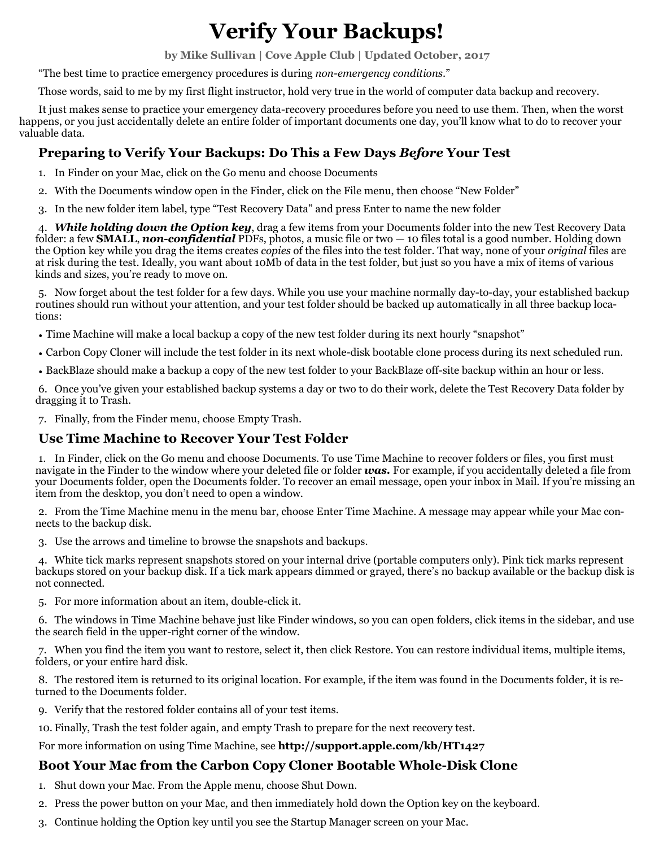# **Verify Your Backups!**

**by Mike Sullivan | Cove Apple Club | Updated October, 2017** 

"The best time to practice emergency procedures is during *non-emergency conditions*."

Those words, said to me by my first flight instructor, hold very true in the world of computer data backup and recovery.

It just makes sense to practice your emergency data-recovery procedures before you need to use them. Then, when the worst happens, or you just accidentally delete an entire folder of important documents one day, you'll know what to do to recover your valuable data.

# **Preparing to Verify Your Backups: Do This a Few Days** *Before* **Your Test**

- 1. In Finder on your Mac, click on the Go menu and choose Documents
- 2. With the Documents window open in the Finder, click on the File menu, then choose "New Folder"
- 3. In the new folder item label, type "Test Recovery Data" and press Enter to name the new folder

4. *While holding down the Option key*, drag a few items from your Documents folder into the new Test Recovery Data folder: a few **SMALL**, *non-confidential* PDFs, photos, a music file or two — 10 files total is a good number. Holding down the Option key while you drag the items creates *copies* of the files into the test folder. That way, none of your *original* files are at risk during the test. Ideally, you want about 10Mb of data in the test folder, but just so you have a mix of items of various kinds and sizes, you're ready to move on.

5. Now forget about the test folder for a few days. While you use your machine normally day-to-day, your established backup routines should run without your attention, and your test folder should be backed up automatically in all three backup locations:

• Time Machine will make a local backup a copy of the new test folder during its next hourly "snapshot"

- Carbon Copy Cloner will include the test folder in its next whole-disk bootable clone process during its next scheduled run.
- BackBlaze should make a backup a copy of the new test folder to your BackBlaze off-site backup within an hour or less.

6. Once you've given your established backup systems a day or two to do their work, delete the Test Recovery Data folder by dragging it to Trash.

7. Finally, from the Finder menu, choose Empty Trash.

### **Use Time Machine to Recover Your Test Folder**

1. In Finder, click on the Go menu and choose Documents. To use Time Machine to recover folders or files, you first must navigate in the Finder to the window where your deleted file or folder *was.* For example, if you accidentally deleted a file from your Documents folder, open the Documents folder. To recover an email message, open your inbox in Mail. If you're missing an item from the desktop, you don't need to open a window.

2. From the Time Machine menu in the menu bar, choose Enter Time Machine. A message may appear while your Mac connects to the backup disk.

3. Use the arrows and timeline to browse the snapshots and backups.

4. White tick marks represent snapshots stored on your internal drive (portable computers only). Pink tick marks represent backups stored on your backup disk. If a tick mark appears dimmed or grayed, there's no backup available or the backup disk is not connected.

5. For more information about an item, double-click it.

6. The windows in Time Machine behave just like Finder windows, so you can open folders, click items in the sidebar, and use the search field in the upper-right corner of the window.

7. When you find the item you want to restore, select it, then click Restore. You can restore individual items, multiple items, folders, or your entire hard disk.

8. The restored item is returned to its original location. For example, if the item was found in the Documents folder, it is returned to the Documents folder.

9. Verify that the restored folder contains all of your test items.

10. Finally, Trash the test folder again, and empty Trash to prepare for the next recovery test.

For more information on using Time Machine, see **http://support.apple.com/kb/HT1427**

# **Boot Your Mac from the Carbon Copy Cloner Bootable Whole-Disk Clone**

- 1. Shut down your Mac. From the Apple menu, choose Shut Down.
- 2. Press the power button on your Mac, and then immediately hold down the Option key on the keyboard.
- 3. Continue holding the Option key until you see the Startup Manager screen on your Mac.